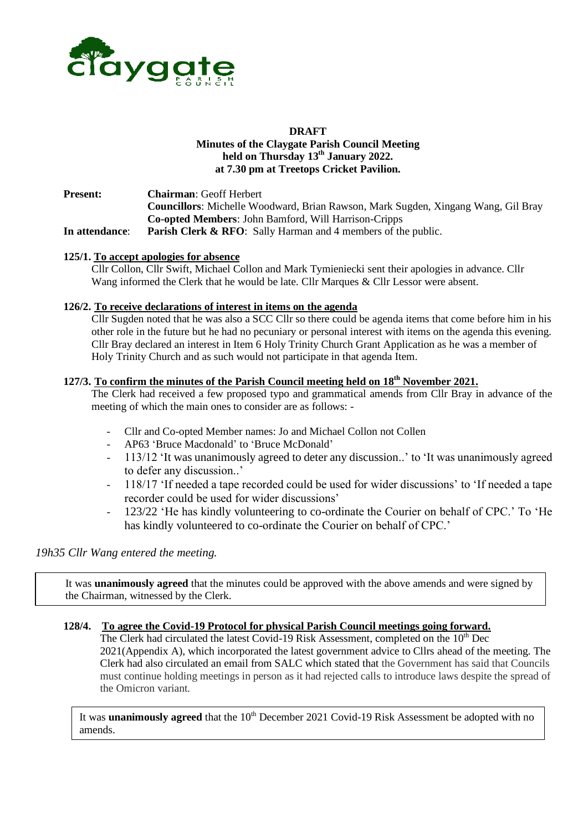

#### **DRAFT Minutes of the Claygate Parish Council Meeting held on Thursday 13th January 2022. at 7.30 pm at Treetops Cricket Pavilion.**

**Present: Chairman**: Geoff Herbert **Councillors**: Michelle Woodward, Brian Rawson, Mark Sugden, Xingang Wang, Gil Bray **Co-opted Members**: John Bamford, Will Harrison-Cripps **In attendance**: **Parish Clerk & RFO**: Sally Harman and 4 members of the public.

#### **125/1. To accept apologies for absence**

Cllr Collon, Cllr Swift, Michael Collon and Mark Tymieniecki sent their apologies in advance. Cllr Wang informed the Clerk that he would be late. Cllr Marques & Cllr Lessor were absent.

#### **126/2. To receive declarations of interest in items on the agenda**

Cllr Sugden noted that he was also a SCC Cllr so there could be agenda items that come before him in his other role in the future but he had no pecuniary or personal interest with items on the agenda this evening. Cllr Bray declared an interest in Item 6 Holy Trinity Church Grant Application as he was a member of Holy Trinity Church and as such would not participate in that agenda Item.

# **127/3. To confirm the minutes of the Parish Council meeting held on 18th November 2021.**

The Clerk had received a few proposed typo and grammatical amends from Cllr Bray in advance of the meeting of which the main ones to consider are as follows: -

- Cllr and Co-opted Member names: Jo and Michael Collon not Collen
- AP63 'Bruce Macdonald' to 'Bruce McDonald'
- 113/12 'It was unanimously agreed to deter any discussion..' to 'It was unanimously agreed to defer any discussion..'
- 118/17 'If needed a tape recorded could be used for wider discussions' to 'If needed a tape recorder could be used for wider discussions'
- 123/22 'He has kindly volunteering to co-ordinate the Courier on behalf of CPC.' To 'He has kindly volunteered to co-ordinate the Courier on behalf of CPC.'

# *19h35 Cllr Wang entered the meeting.*

It was **unanimously agreed** that the minutes could be approved with the above amends and were signed by the Chairman, witnessed by the Clerk.

#### **128/4. To agree the Covid-19 Protocol for physical Parish Council meetings going forward.**

The Clerk had circulated the latest Covid-19 Risk Assessment, completed on the  $10<sup>th</sup>$  Dec 2021(Appendix A), which incorporated the latest government advice to Cllrs ahead of the meeting. The Clerk had also circulated an email from SALC which stated that the Government has said that Councils must continue holding meetings in person as it had rejected calls to introduce laws despite the spread of the Omicron variant.

It was **unanimously agreed** that the 10<sup>th</sup> December 2021 Covid-19 Risk Assessment be adopted with no amends.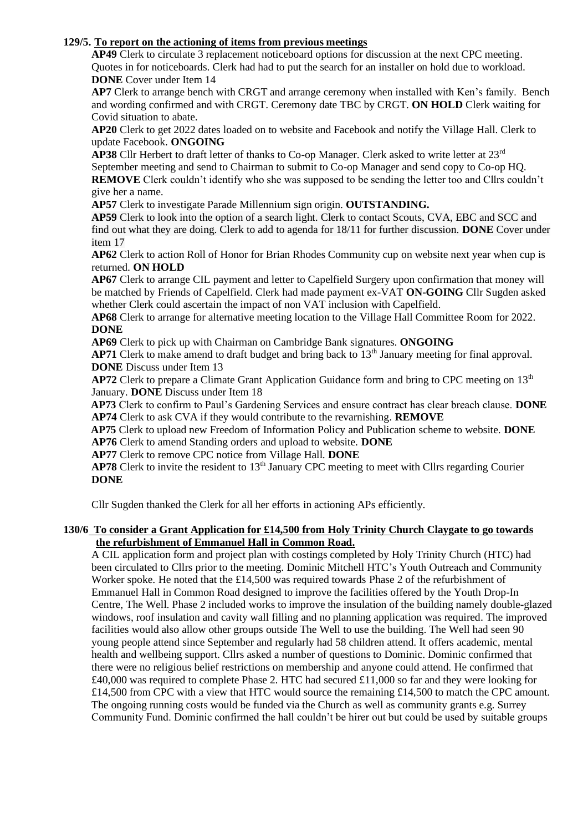#### **129/5. To report on the actioning of items from previous meetings**

**AP49** Clerk to circulate 3 replacement noticeboard options for discussion at the next CPC meeting. Quotes in for noticeboards. Clerk had had to put the search for an installer on hold due to workload. **DONE** Cover under Item 14

**AP7** Clerk to arrange bench with CRGT and arrange ceremony when installed with Ken's family. Bench and wording confirmed and with CRGT. Ceremony date TBC by CRGT. **ON HOLD** Clerk waiting for Covid situation to abate.

**AP20** Clerk to get 2022 dates loaded on to website and Facebook and notify the Village Hall. Clerk to update Facebook. **ONGOING**

**AP38** Cllr Herbert to draft letter of thanks to Co-op Manager. Clerk asked to write letter at 23rd September meeting and send to Chairman to submit to Co-op Manager and send copy to Co-op HQ. **REMOVE** Clerk couldn't identify who she was supposed to be sending the letter too and Cllrs couldn't

give her a name.

**AP57** Clerk to investigate Parade Millennium sign origin. **OUTSTANDING.**

 **AP59** Clerk to look into the option of a search light. Clerk to contact Scouts, CVA, EBC and SCC and find out what they are doing. Clerk to add to agenda for 18/11 for further discussion. **DONE** Cover under item 17

**AP62** Clerk to action Roll of Honor for Brian Rhodes Community cup on website next year when cup is returned. **ON HOLD**

**AP67** Clerk to arrange CIL payment and letter to Capelfield Surgery upon confirmation that money will be matched by Friends of Capelfield. Clerk had made payment ex-VAT **ON-GOING** Cllr Sugden asked whether Clerk could ascertain the impact of non VAT inclusion with Capelfield.

**AP68** Clerk to arrange for alternative meeting location to the Village Hall Committee Room for 2022. **DONE**

**AP69** Clerk to pick up with Chairman on Cambridge Bank signatures. **ONGOING**

**AP71** Clerk to make amend to draft budget and bring back to 13<sup>th</sup> January meeting for final approval. **DONE** Discuss under Item 13

**AP72** Clerk to prepare a Climate Grant Application Guidance form and bring to CPC meeting on 13<sup>th</sup> January. **DONE** Discuss under Item 18

 **AP73** Clerk to confirm to Paul's Gardening Services and ensure contract has clear breach clause. **DONE AP74** Clerk to ask CVA if they would contribute to the revarnishing. **REMOVE**

 **AP75** Clerk to upload new Freedom of Information Policy and Publication scheme to website. **DONE**

**AP76** Clerk to amend Standing orders and upload to website. **DONE**

**AP77** Clerk to remove CPC notice from Village Hall. **DONE**

**AP78** Clerk to invite the resident to  $13<sup>th</sup>$  January CPC meeting to meet with Cllrs regarding Courier **DONE**

Cllr Sugden thanked the Clerk for all her efforts in actioning APs efficiently.

#### **130/6 To consider a Grant Application for £14,500 from Holy Trinity Church Claygate to go towards the refurbishment of Emmanuel Hall in Common Road.**

A CIL application form and project plan with costings completed by Holy Trinity Church (HTC) had been circulated to Cllrs prior to the meeting. Dominic Mitchell HTC's Youth Outreach and Community Worker spoke. He noted that the £14,500 was required towards Phase 2 of the refurbishment of Emmanuel Hall in Common Road designed to improve the facilities offered by the Youth Drop-In Centre, The Well. Phase 2 included works to improve the insulation of the building namely double-glazed windows, roof insulation and cavity wall filling and no planning application was required. The improved facilities would also allow other groups outside The Well to use the building. The Well had seen 90 young people attend since September and regularly had 58 children attend. It offers academic, mental health and wellbeing support. Cllrs asked a number of questions to Dominic. Dominic confirmed that there were no religious belief restrictions on membership and anyone could attend. He confirmed that £40,000 was required to complete Phase 2. HTC had secured £11,000 so far and they were looking for £14,500 from CPC with a view that HTC would source the remaining £14,500 to match the CPC amount. The ongoing running costs would be funded via the Church as well as community grants e.g. Surrey Community Fund. Dominic confirmed the hall couldn't be hirer out but could be used by suitable groups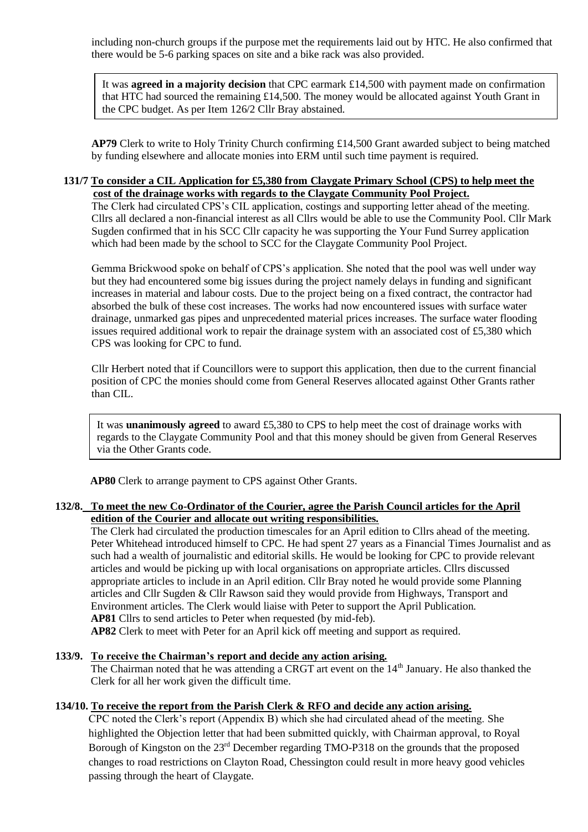including non-church groups if the purpose met the requirements laid out by HTC. He also confirmed that there would be 5-6 parking spaces on site and a bike rack was also provided.

It was **agreed in a majority decision** that CPC earmark £14,500 with payment made on confirmation that HTC had sourced the remaining £14,500. The money would be allocated against Youth Grant in the CPC budget. As per Item 126/2 Cllr Bray abstained.

**AP79** Clerk to write to Holy Trinity Church confirming £14,500 Grant awarded subject to being matched by funding elsewhere and allocate monies into ERM until such time payment is required.

#### **131/7 To consider a CIL Application for £5,380 from Claygate Primary School (CPS) to help meet the cost of the drainage works with regards to the Claygate Community Pool Project.**

The Clerk had circulated CPS's CIL application, costings and supporting letter ahead of the meeting. Cllrs all declared a non-financial interest as all Cllrs would be able to use the Community Pool. Cllr Mark Sugden confirmed that in his SCC Cllr capacity he was supporting the Your Fund Surrey application which had been made by the school to SCC for the Claygate Community Pool Project.

Gemma Brickwood spoke on behalf of CPS's application. She noted that the pool was well under way but they had encountered some big issues during the project namely delays in funding and significant increases in material and labour costs. Due to the project being on a fixed contract, the contractor had absorbed the bulk of these cost increases. The works had now encountered issues with surface water drainage, unmarked gas pipes and unprecedented material prices increases. The surface water flooding issues required additional work to repair the drainage system with an associated cost of £5,380 which CPS was looking for CPC to fund.

Cllr Herbert noted that if Councillors were to support this application, then due to the current financial position of CPC the monies should come from General Reserves allocated against Other Grants rather than CIL.

It was **unanimously agreed** to award £5,380 to CPS to help meet the cost of drainage works with regards to the Claygate Community Pool and that this money should be given from General Reserves via the Other Grants code.

 **AP80** Clerk to arrange payment to CPS against Other Grants.

#### **132/8. To meet the new Co-Ordinator of the Courier, agree the Parish Council articles for the April edition of the Courier and allocate out writing responsibilities.**

The Clerk had circulated the production timescales for an April edition to Cllrs ahead of the meeting. Peter Whitehead introduced himself to CPC. He had spent 27 years as a Financial Times Journalist and as such had a wealth of journalistic and editorial skills. He would be looking for CPC to provide relevant articles and would be picking up with local organisations on appropriate articles. Cllrs discussed appropriate articles to include in an April edition. Cllr Bray noted he would provide some Planning articles and Cllr Sugden & Cllr Rawson said they would provide from Highways, Transport and Environment articles. The Clerk would liaise with Peter to support the April Publication. **AP81** Cllrs to send articles to Peter when requested (by mid-feb).

**AP82** Clerk to meet with Peter for an April kick off meeting and support as required.

#### **133/9. To receive the Chairman's report and decide any action arising.**

The Chairman noted that he was attending a CRGT art event on the 14<sup>th</sup> January. He also thanked the Clerk for all her work given the difficult time.

#### **134/10. To receive the report from the Parish Clerk & RFO and decide any action arising.**

CPC noted the Clerk's report (Appendix B) which she had circulated ahead of the meeting. She highlighted the Objection letter that had been submitted quickly, with Chairman approval, to Royal Borough of Kingston on the 23<sup>rd</sup> December regarding TMO-P318 on the grounds that the proposed changes to road restrictions on Clayton Road, Chessington could result in more heavy good vehicles passing through the heart of Claygate.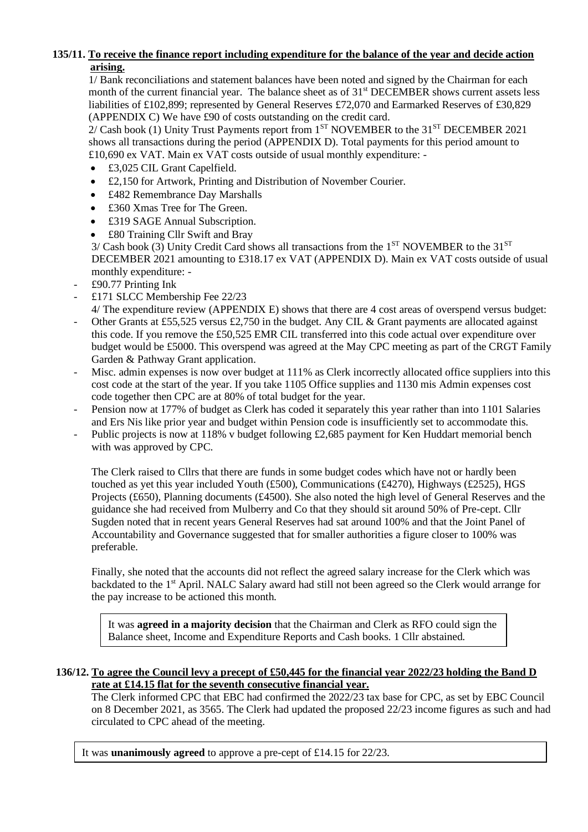## **135/11. To receive the finance report including expenditure for the balance of the year and decide action arising.**

1/ Bank reconciliations and statement balances have been noted and signed by the Chairman for each month of the current financial year. The balance sheet as of 31<sup>st</sup> DECEMBER shows current assets less liabilities of £102,899; represented by General Reserves £72,070 and Earmarked Reserves of £30,829 (APPENDIX C) We have £90 of costs outstanding on the credit card.

 $2/Cash$  book (1) Unity Trust Payments report from  $1<sup>ST</sup>$  NOVEMBER to the 31<sup>ST</sup> DECEMBER 2021 shows all transactions during the period (APPENDIX D). Total payments for this period amount to £10,690 ex VAT. Main ex VAT costs outside of usual monthly expenditure: -

- £3,025 CIL Grant Capelfield.
- £2,150 for Artwork, Printing and Distribution of November Courier.
- £482 Remembrance Day Marshalls
- £360 Xmas Tree for The Green.
- £319 SAGE Annual Subscription.
- £80 Training Cllr Swift and Bray

 $3/Cash$  book (3) Unity Credit Card shows all transactions from the 1<sup>ST</sup> NOVEMBER to the 31<sup>ST</sup> DECEMBER 2021 amounting to £318.17 ex VAT (APPENDIX D). Main ex VAT costs outside of usual monthly expenditure: -

- £90.77 Printing Ink
- £171 SLCC Membership Fee 22/23
- 4/ The expenditure review (APPENDIX E) shows that there are 4 cost areas of overspend versus budget:
- Other Grants at £55,525 versus £2,750 in the budget. Any CIL & Grant payments are allocated against this code. If you remove the £50,525 EMR CIL transferred into this code actual over expenditure over budget would be £5000. This overspend was agreed at the May CPC meeting as part of the CRGT Family Garden & Pathway Grant application.
- Misc. admin expenses is now over budget at 111% as Clerk incorrectly allocated office suppliers into this cost code at the start of the year. If you take 1105 Office supplies and 1130 mis Admin expenses cost code together then CPC are at 80% of total budget for the year.
- Pension now at 177% of budget as Clerk has coded it separately this year rather than into 1101 Salaries and Ers Nis like prior year and budget within Pension code is insufficiently set to accommodate this.
- Public projects is now at 118% v budget following £2,685 payment for Ken Huddart memorial bench with was approved by CPC.

The Clerk raised to Cllrs that there are funds in some budget codes which have not or hardly been touched as yet this year included Youth (£500), Communications (£4270), Highways (£2525), HGS Projects (£650), Planning documents (£4500). She also noted the high level of General Reserves and the guidance she had received from Mulberry and Co that they should sit around 50% of Pre-cept. Cllr Sugden noted that in recent years General Reserves had sat around 100% and that the Joint Panel of Accountability and Governance suggested that for smaller authorities a figure closer to 100% was preferable.

Finally, she noted that the accounts did not reflect the agreed salary increase for the Clerk which was backdated to the 1<sup>st</sup> April. NALC Salary award had still not been agreed so the Clerk would arrange for the pay increase to be actioned this month.

It was **agreed in a majority decision** that the Chairman and Clerk as RFO could sign the Balance sheet, Income and Expenditure Reports and Cash books. 1 Cllr abstained.

#### **136/12. To agree the Council levy a precept of £50,445 for the financial year 2022/23 holding the Band D rate at £14.15 flat for the seventh consecutive financial year.**

The Clerk informed CPC that EBC had confirmed the 2022/23 tax base for CPC, as set by EBC Council on 8 December 2021, as 3565. The Clerk had updated the proposed 22/23 income figures as such and had circulated to CPC ahead of the meeting.

It was **unanimously agreed** to approve a pre-cept of £14.15 for 22/23.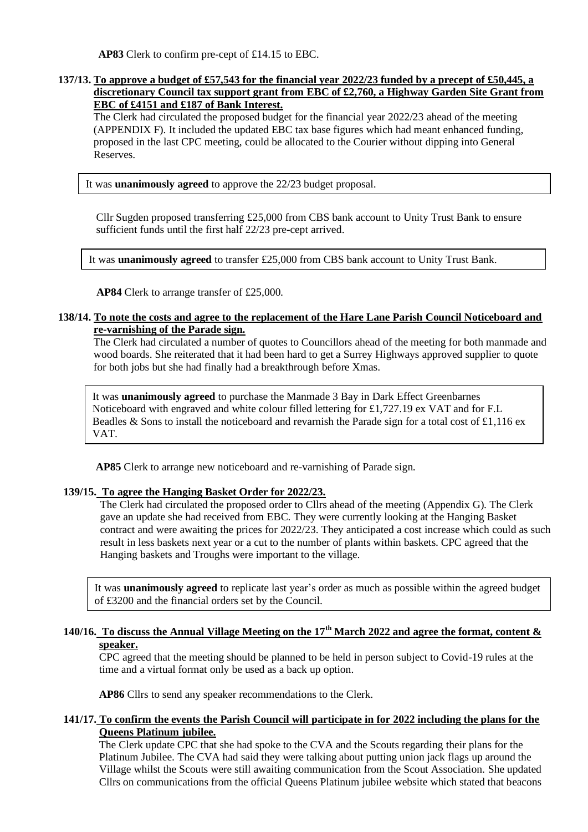**AP83** Clerk to confirm pre-cept of £14.15 to EBC.

#### **137/13. To approve a budget of £57,543 for the financial year 2022/23 funded by a precept of £50,445, a discretionary Council tax support grant from EBC of £2,760, a Highway Garden Site Grant from EBC of £4151 and £187 of Bank Interest.**

 The Clerk had circulated the proposed budget for the financial year 2022/23 ahead of the meeting (APPENDIX F). It included the updated EBC tax base figures which had meant enhanced funding, proposed in the last CPC meeting, could be allocated to the Courier without dipping into General Reserves.

It was **unanimously agreed** to approve the 22/23 budget proposal.

Cllr Sugden proposed transferring £25,000 from CBS bank account to Unity Trust Bank to ensure sufficient funds until the first half 22/23 pre-cept arrived.

It was **unanimously agreed** to transfer £25,000 from CBS bank account to Unity Trust Bank.

**AP84** Clerk to arrange transfer of £25,000.

#### **138/14. To note the costs and agree to the replacement of the Hare Lane Parish Council Noticeboard and re-varnishing of the Parade sign.**

The Clerk had circulated a number of quotes to Councillors ahead of the meeting for both manmade and wood boards. She reiterated that it had been hard to get a Surrey Highways approved supplier to quote for both jobs but she had finally had a breakthrough before Xmas.

It was **unanimously agreed** to purchase the Manmade 3 Bay in Dark Effect Greenbarnes Noticeboard with engraved and white colour filled lettering for £1,727.19 ex VAT and for F.L Beadles & Sons to install the noticeboard and revarnish the Parade sign for a total cost of £1,116 ex VAT.

 **AP85** Clerk to arrange new noticeboard and re-varnishing of Parade sign.

#### **139/15. To agree the Hanging Basket Order for 2022/23.**

The Clerk had circulated the proposed order to Cllrs ahead of the meeting (Appendix G). The Clerk gave an update she had received from EBC. They were currently looking at the Hanging Basket contract and were awaiting the prices for 2022/23. They anticipated a cost increase which could as such result in less baskets next year or a cut to the number of plants within baskets. CPC agreed that the Hanging baskets and Troughs were important to the village.

It was **unanimously agreed** to replicate last year's order as much as possible within the agreed budget of £3200 and the financial orders set by the Council.

# **140/16. To discuss the Annual Village Meeting on the 17th March 2022 and agree the format, content & speaker.**

CPC agreed that the meeting should be planned to be held in person subject to Covid-19 rules at the time and a virtual format only be used as a back up option.

**AP86** Cllrs to send any speaker recommendations to the Clerk.

#### **141/17. To confirm the events the Parish Council will participate in for 2022 including the plans for the Queens Platinum jubilee.**

The Clerk update CPC that she had spoke to the CVA and the Scouts regarding their plans for the Platinum Jubilee. The CVA had said they were talking about putting union jack flags up around the Village whilst the Scouts were still awaiting communication from the Scout Association. She updated Cllrs on communications from the official Queens Platinum jubilee website which stated that beacons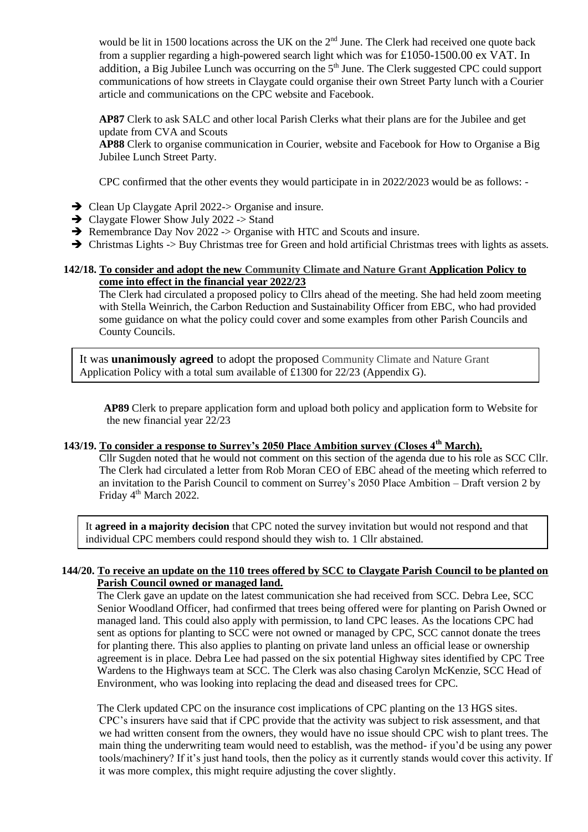would be lit in 1500 locations across the UK on the  $2<sup>nd</sup>$  June. The Clerk had received one quote back from a supplier regarding a high-powered search light which was for £1050-1500.00 ex VAT. In addition, a Big Jubilee Lunch was occurring on the 5<sup>th</sup> June. The Clerk suggested CPC could support communications of how streets in Claygate could organise their own Street Party lunch with a Courier article and communications on the CPC website and Facebook.

**AP87** Clerk to ask SALC and other local Parish Clerks what their plans are for the Jubilee and get update from CVA and Scouts

**AP88** Clerk to organise communication in Courier, website and Facebook for How to Organise a Big Jubilee Lunch Street Party.

CPC confirmed that the other events they would participate in in 2022/2023 would be as follows: -

- ➔ Clean Up Claygate April 2022-> Organise and insure.
- $\rightarrow$  Claygate Flower Show July 2022 -> Stand
- ➔ Remembrance Day Nov 2022 -> Organise with HTC and Scouts and insure.
- ➔ Christmas Lights -> Buy Christmas tree for Green and hold artificial Christmas trees with lights as assets.

#### **142/18. To consider and adopt the new Community Climate and Nature Grant Application Policy to come into effect in the financial year 2022/23**

The Clerk had circulated a proposed policy to Cllrs ahead of the meeting. She had held zoom meeting with Stella Weinrich, the Carbon Reduction and Sustainability Officer from EBC, who had provided some guidance on what the policy could cover and some examples from other Parish Councils and County Councils.

It was **unanimously agreed** to adopt the proposed Community Climate and Nature Grant Application Policy with a total sum available of £1300 for 22/23 (Appendix G).

 **AP89** Clerk to prepare application form and upload both policy and application form to Website for the new financial year 22/23

#### **143/19. To consider a response to Surrey's 2050 Place Ambition survey (Closes 4th March).**

Cllr Sugden noted that he would not comment on this section of the agenda due to his role as SCC Cllr. The Clerk had circulated a letter from Rob Moran CEO of EBC ahead of the meeting which referred to an invitation to the Parish Council to comment on Surrey's 2050 Place Ambition – Draft version 2 by Friday 4<sup>th</sup> March 2022.

It **agreed in a majority decision** that CPC noted the survey invitation but would not respond and that individual CPC members could respond should they wish to. 1 Cllr abstained.

#### **144/20. To receive an update on the 110 trees offered by SCC to Claygate Parish Council to be planted on Parish Council owned or managed land.**

The Clerk gave an update on the latest communication she had received from SCC. Debra Lee, SCC Senior Woodland Officer, had confirmed that trees being offered were for planting on Parish Owned or managed land. This could also apply with permission, to land CPC leases. As the locations CPC had sent as options for planting to SCC were not owned or managed by CPC, SCC cannot donate the trees for planting there. This also applies to planting on private land unless an official lease or ownership agreement is in place. Debra Lee had passed on the six potential Highway sites identified by CPC Tree Wardens to the Highways team at SCC. The Clerk was also chasing Carolyn McKenzie, SCC Head of Environment, who was looking into replacing the dead and diseased trees for CPC.

The Clerk updated CPC on the insurance cost implications of CPC planting on the 13 HGS sites. CPC's insurers have said that if CPC provide that the activity was subject to risk assessment, and that we had written consent from the owners, they would have no issue should CPC wish to plant trees. The main thing the underwriting team would need to establish, was the method- if you'd be using any power tools/machinery? If it's just hand tools, then the policy as it currently stands would cover this activity. If it was more complex, this might require adjusting the cover slightly.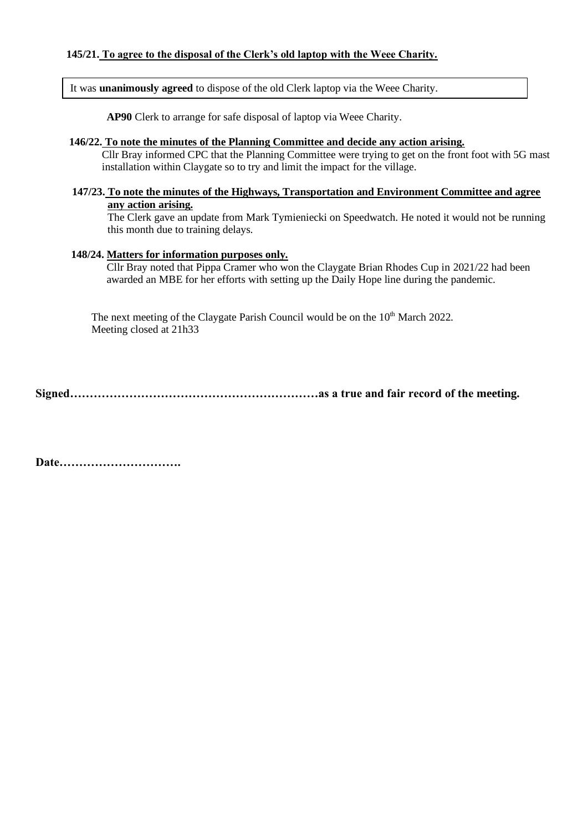It was **unanimously agreed** to dispose of the old Clerk laptop via the Weee Charity.

**AP90** Clerk to arrange for safe disposal of laptop via Weee Charity.

#### **146/22. To note the minutes of the Planning Committee and decide any action arising.**

 Cllr Bray informed CPC that the Planning Committee were trying to get on the front foot with 5G mast installation within Claygate so to try and limit the impact for the village.

#### **147/23. To note the minutes of the Highways, Transportation and Environment Committee and agree any action arising.**

The Clerk gave an update from Mark Tymieniecki on Speedwatch. He noted it would not be running this month due to training delays.

#### **148/24. Matters for information purposes only.**

Cllr Bray noted that Pippa Cramer who won the Claygate Brian Rhodes Cup in 2021/22 had been awarded an MBE for her efforts with setting up the Daily Hope line during the pandemic.

The next meeting of the Claygate Parish Council would be on the 10<sup>th</sup> March 2022. Meeting closed at 21h33

**Signed………………………………………………………as a true and fair record of the meeting.**

**Date………………………….**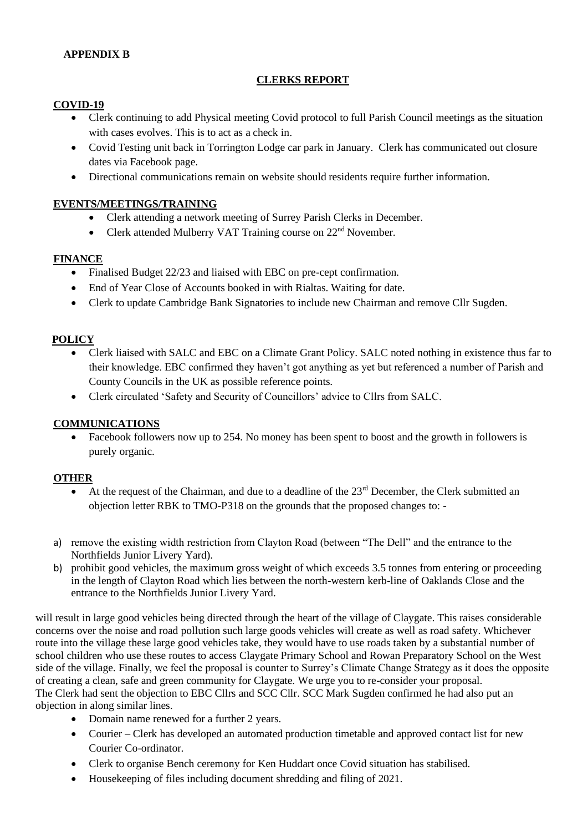## **APPENDIX B**

#### **CLERKS REPORT**

#### **COVID-19**

- Clerk continuing to add Physical meeting Covid protocol to full Parish Council meetings as the situation with cases evolves. This is to act as a check in.
- Covid Testing unit back in Torrington Lodge car park in January. Clerk has communicated out closure dates via Facebook page.
- Directional communications remain on website should residents require further information.

#### **EVENTS/MEETINGS/TRAINING**

- Clerk attending a network meeting of Surrey Parish Clerks in December.
- Clerk attended Mulberry VAT Training course on  $22<sup>nd</sup>$  November.

#### **FINANCE**

- Finalised Budget 22/23 and liaised with EBC on pre-cept confirmation.
- End of Year Close of Accounts booked in with Rialtas. Waiting for date.
- Clerk to update Cambridge Bank Signatories to include new Chairman and remove Cllr Sugden.

#### **POLICY**

- Clerk liaised with SALC and EBC on a Climate Grant Policy. SALC noted nothing in existence thus far to their knowledge. EBC confirmed they haven't got anything as yet but referenced a number of Parish and County Councils in the UK as possible reference points.
- Clerk circulated 'Safety and Security of Councillors' advice to Cllrs from SALC.

#### **COMMUNICATIONS**

• Facebook followers now up to 254. No money has been spent to boost and the growth in followers is purely organic.

#### **OTHER**

- At the request of the Chairman, and due to a deadline of the 23<sup>rd</sup> December, the Clerk submitted an objection letter RBK to TMO-P318 on the grounds that the proposed changes to: -
- a) remove the existing width restriction from Clayton Road (between "The Dell" and the entrance to the Northfields Junior Livery Yard).
- b) prohibit good vehicles, the maximum gross weight of which exceeds 3.5 tonnes from entering or proceeding in the length of Clayton Road which lies between the north-western kerb-line of Oaklands Close and the entrance to the Northfields Junior Livery Yard.

will result in large good vehicles being directed through the heart of the village of Claygate. This raises considerable concerns over the noise and road pollution such large goods vehicles will create as well as road safety. Whichever route into the village these large good vehicles take, they would have to use roads taken by a substantial number of school children who use these routes to access Claygate Primary School and Rowan Preparatory School on the West side of the village. Finally, we feel the proposal is counter to Surrey's Climate Change Strategy as it does the opposite of creating a clean, safe and green community for Claygate. We urge you to re-consider your proposal. The Clerk had sent the objection to EBC Cllrs and SCC Cllr. SCC Mark Sugden confirmed he had also put an objection in along similar lines.

- Domain name renewed for a further 2 years.
- Courier Clerk has developed an automated production timetable and approved contact list for new Courier Co-ordinator.
- Clerk to organise Bench ceremony for Ken Huddart once Covid situation has stabilised.
- Housekeeping of files including document shredding and filing of 2021.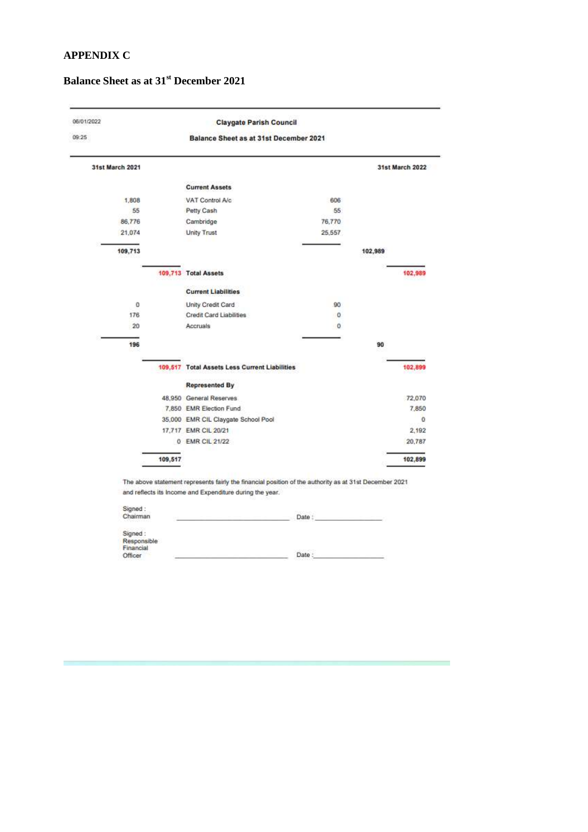# **APPENDIX C**

# **Balance Sheet as at 31st December 2021**

| 06/01/2022             |                                               | <b>Claygate Parish Council</b> |                 |  |  |  |
|------------------------|-----------------------------------------------|--------------------------------|-----------------|--|--|--|
| 09:25                  | Balance Sheet as at 31st December 2021        |                                |                 |  |  |  |
| <b>31st March 2021</b> |                                               |                                | 31st March 2022 |  |  |  |
|                        | <b>Current Assets</b>                         |                                |                 |  |  |  |
| 1,808                  | VAT Control A/c                               | 606                            |                 |  |  |  |
| 55                     | Petty Cash                                    | 55                             |                 |  |  |  |
| 86,776                 | Cambridge                                     | 76,770                         |                 |  |  |  |
| 21,074                 | <b>Unity Trust</b>                            | 25,557                         |                 |  |  |  |
| 109,713                |                                               |                                | 102,989         |  |  |  |
|                        | 109,713 Total Assets                          |                                | 102,989         |  |  |  |
|                        | <b>Current Liabilities</b>                    |                                |                 |  |  |  |
| 0                      | Unity Credit Card                             | 90                             |                 |  |  |  |
| 176                    | Credit Card Liabilities                       | o                              |                 |  |  |  |
| 20                     | Accruals                                      | o                              |                 |  |  |  |
| 196                    |                                               |                                | 90              |  |  |  |
|                        | 109,517 Total Assets Less Current Liabilities |                                | 102,899         |  |  |  |
|                        | <b>Represented By</b>                         |                                |                 |  |  |  |
|                        | 48.950 General Reserves                       |                                | 72,070          |  |  |  |
|                        | 7,850 EMR Election Fund                       |                                | 7,850           |  |  |  |
|                        | 35,000 EMR CIL Claygate School Pool           |                                | 0               |  |  |  |
|                        | 17.717 EMR CIL 20/21                          |                                | 2,192           |  |  |  |
|                        | 0 EMR CIL 21/22                               |                                | 20,787          |  |  |  |
|                        | 109,517                                       |                                | 102,899         |  |  |  |

and reflects its income and Expenditure during the year.

| Signed:<br>Chairman<br>19-19: 19-000-1-19-000 | Date |
|-----------------------------------------------|------|
| Signed:                                       |      |
| Responsible<br>Financial                      |      |
| Officer                                       | Date |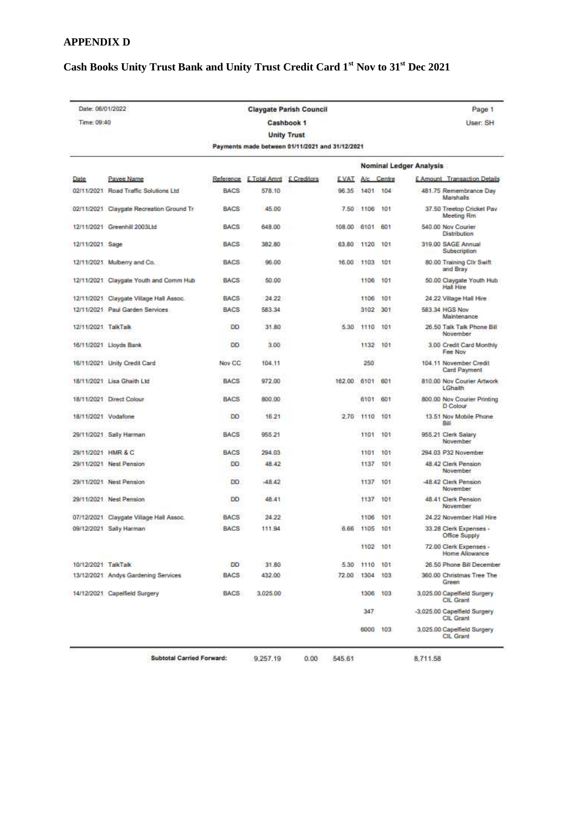# **APPENDIX D**

# **Cash Books Unity Trust Bank and Unity Trust Credit Card 1st Nov to 31st Dec 2021**

| Date: 06/01/2022    |                                          |             |                                                 | <b>Claygate Parish Council</b> |             |            |            | Page 1                                       |
|---------------------|------------------------------------------|-------------|-------------------------------------------------|--------------------------------|-------------|------------|------------|----------------------------------------------|
| Time: 09:40         |                                          |             | Cashbook 1                                      | User: SH                       |             |            |            |                                              |
|                     |                                          |             |                                                 | <b>Unity Trust</b>             |             |            |            |                                              |
|                     |                                          |             | Payments made between 01/11/2021 and 31/12/2021 |                                |             |            |            |                                              |
|                     |                                          |             |                                                 |                                |             |            |            | Nominal Ledger Analysis                      |
| Date                | Payee Name                               | Reference   | E Total Amnt                                    | £ Creditors                    | E VAT.      |            | A/c Centre | <b>£ Amount</b> Transaction Details          |
|                     | 02/11/2021 Road Traffic Solutions Ltd    | <b>BACS</b> | 578.10                                          |                                | 96.35       | 1401       | 104        | 481.75 Remembrance Day<br>Marshalls          |
|                     | 02/11/2021 Claygate Recreation Ground Tr | <b>BACS</b> | 45.00                                           |                                |             | 7.50 1106  | 101        | 37.50 Treetop Cricket Pav<br>Meeting Rm      |
|                     | 12/11/2021 Greenhill 2003Ltd             | <b>BACS</b> | 648.00                                          |                                | 108.00 6101 |            | 601        | 540.00 Nov Courier<br><b>Distribution</b>    |
| 12/11/2021 Sage     |                                          | <b>BACS</b> | 382.80                                          |                                |             | 63.80 1120 | 101        | 319.00 SAGE Annual<br>Subscription           |
|                     | 12/11/2021 Mulberry and Co.              | <b>BACS</b> | 96.00                                           |                                | 16.00 1103  |            | 101        | 80.00 Training Cilr Swift<br>and Bray        |
|                     | 12/11/2021. Claygate Youth and Comm Hub  | BACS.       | 50.00                                           |                                |             | 1106       | 101        | 50.00 Claygate Youth Hub<br><b>Hall Hire</b> |
|                     | 12/11/2021 Claygate Village Hall Assoc.  | <b>BACS</b> | 24.22                                           |                                |             | 1106       | 101        | 24.22 Village Hall Hire                      |
|                     | 12/11/2021 Paul Garden Services          | <b>BACS</b> | 583.34                                          |                                |             | 3102       | 301        | 583.34 HGS Nov<br>Maintenance                |
| 12/11/2021 TalkTalk |                                          | <b>DD</b>   | 31.80                                           |                                | 5.30        | 1110       | 101        | 26.50 Talk Talk Phone Bill<br>November       |
|                     | 16/11/2021 Lloyds Bank                   | DD          | 3.00                                            |                                |             | 1132       | 101        | 3.00 Credit Card Monthly<br>Fee Nov          |
|                     | 16/11/2021 Unity Credit Card             | Nov CC      | 104.11                                          |                                |             | 250        |            | 104.11 November Credit<br>Card Payment       |
|                     | 18/11/2021 Lisa Ghaith Ltd               | <b>BACS</b> | 972.00                                          |                                | 162.00      | 6101       | 601        | 810.00 Nov Courier Artwork<br>LGhaith        |
|                     | 18/11/2021 Direct Colour                 | <b>BACS</b> | 800.00                                          |                                |             | 6101       | 601        | 800.00 Nov Courier Printing<br>D Colour      |
| 18/11/2021 Vodafone |                                          | <b>DD</b>   | 16.21                                           |                                | 2.70        | 1110       | 101        | 13.51 Nov Mobile Phone<br>Bill               |
|                     | 29/11/2021 Sally Harman                  | BACS        | 955.21                                          |                                |             | 1101       | 101        | 955.21 Clerk Salary<br>November              |
| 29/11/2021 HMR & C  |                                          | BACS        | 294.03                                          |                                |             | 1101       | 101        | 294.03 P32 November                          |
|                     | 29/11/2021 Nest Pension                  | <b>DD</b>   | 48.42                                           |                                |             | 1137       | 101        | 48.42 Clerk Pension<br>November              |
|                     | 29/11/2021 Nest Pension                  | <b>DD</b>   | $-48.42$                                        |                                |             | 1137       | 101        | 48.42 Clerk Pension<br>November              |
|                     | 29/11/2021 Nest Pension                  | DD          | 48.41                                           |                                |             | 1137       | 101        | 48.41 Clerk Pension<br>November              |
|                     | 07/12/2021 Claygate Village Hall Assoc.  | <b>BACS</b> | 24.22                                           |                                |             | 1106       | 101        | 24.22 November Hall Hire                     |
|                     | 09/12/2021 Sally Harman                  | <b>BACS</b> | 111.94                                          |                                |             | 6.66 1105  | 101        | 33.28 Clerk Expenses -<br>Office Supply      |
|                     |                                          |             |                                                 |                                |             | 1102 101   |            | 72.00 Clerk Expenses -<br>Home Allowance     |
| 10/12/2021 TalkTalk |                                          | DD          | 31.80                                           |                                |             | 5.30 1110  | 101        | 26.50 Phone Bill December                    |
|                     | 13/12/2021. Andys Gardening Services     | <b>BACS</b> | 432.00                                          |                                | 72.00 1304  |            | 103        | 360.00 Christmas Tree The<br>Green           |
|                     | 14/12/2021 Capelfield Surgery            | <b>BACS</b> | 3,025.00                                        |                                |             | 1306       | 103        | 3,025.00 Capelfield Surgery<br>CIL Grant     |
|                     |                                          |             |                                                 |                                |             | 347        |            | -3,025.00 Capelfield Surgery<br>CIL Grant    |
|                     |                                          |             |                                                 |                                |             | 6000 103   |            | 3,025.00 Capelfield Surgery<br>CIL Grant     |
|                     | Subtotal Carried Forward:                |             | 9,257.19                                        | 0.00                           | 545.61      |            |            | 8,711.58                                     |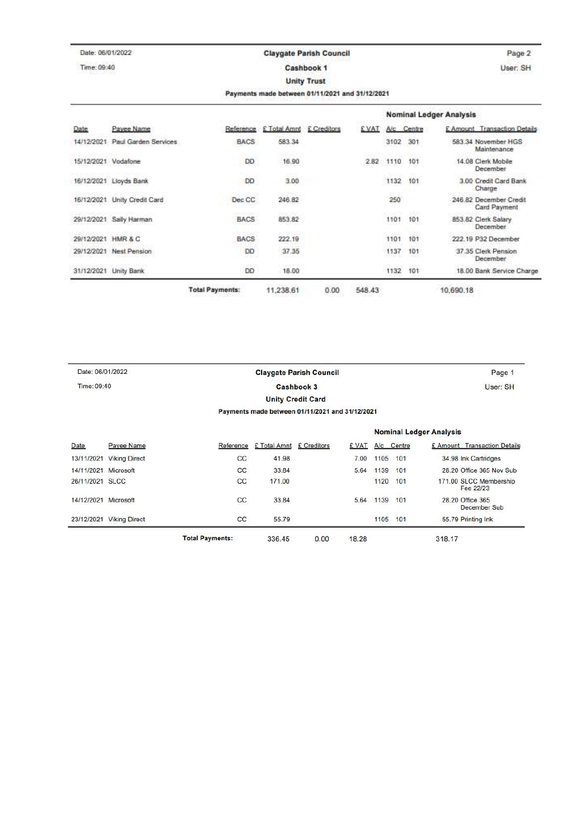| Date: 06/01/2022                | <b>Claygate Parish Council</b> |                                                 |                    | Page 2      |               |                 |                                        |
|---------------------------------|--------------------------------|-------------------------------------------------|--------------------|-------------|---------------|-----------------|----------------------------------------|
| Time: 09:40                     |                                | Cashbook 1                                      |                    |             |               |                 | User: SH                               |
|                                 |                                |                                                 | <b>Unity Trust</b> |             |               |                 |                                        |
|                                 |                                | Payments made between 01/11/2021 and 31/12/2021 |                    |             |               |                 |                                        |
|                                 |                                |                                                 |                    |             |               |                 | <b>Nominal Ledger Analysis</b>         |
| Payee Name<br>Date              | Reference                      | £ Total Amnt £ Creditors                        |                    | <b>EVAT</b> |               | A/c Centre      | £ Amount Transaction Details           |
| 14/12/2021 Paul Garden Services | <b>BACS</b>                    | 583.34                                          |                    |             | 3102          | 301             | 583.34 November HGS<br>Maintenance     |
| 15/12/2021 Vodafone             | DD                             | 16.90                                           |                    | 2.82        | 1110          | 101             | 14.08 Clerk Mobile<br>December         |
| 16/12/2021 Lloyds Bank          | <b>DD</b>                      | 3.00<br>59, 1983                                |                    |             | 1132          | 101             | 3.00 Credit Card Bank<br>Charge        |
| 16/12/2021 Unity Credit Card    | Dec CC                         | 246.82<br>man                                   |                    |             | 250           | 820             | 246.82 December Credit<br>Card Payment |
| 29/12/2021 Sally Harman         | <b>BACS</b>                    | 853.82<br>-2009-00                              |                    |             | COMM.<br>1101 | 101<br>$-5 - 1$ | 853.82 Clerk Salary<br>December        |
| 29/12/2021 HMR & C              | <b>BACS</b>                    | 222.19                                          |                    |             | 1101          | 101             | 222.19 P32 December                    |
| 29/12/2021 Nest Pension         | DD                             | 37.35                                           |                    |             | 1137          | 101             | 37.35 Clerk Pension<br>December        |
| 31/12/2021 Unity Bank           | i USS<br>DD                    | 18.00                                           |                    |             | 1132          | 101             | 18.00 Bank Service Charge              |

| Date: 06/01/2022 |                                  |                        |              | <b>Claygate Parish Council</b>                  |       |      |            | Page 1                              |
|------------------|----------------------------------|------------------------|--------------|-------------------------------------------------|-------|------|------------|-------------------------------------|
|                  | Time: 09:40<br><b>Cashbook 3</b> |                        |              |                                                 |       |      | User: SH   |                                     |
|                  |                                  |                        |              | <b>Unity Credit Card</b>                        |       |      |            |                                     |
|                  |                                  |                        |              | Payments made between 01/11/2021 and 31/12/2021 |       |      |            |                                     |
|                  |                                  |                        |              |                                                 |       |      |            | <b>Nominal Ledger Analysis</b>      |
| Date             | Payee Name                       | Reference              | £ Total Amnt | £ Creditors                                     | £ VAT |      | A/c Centre | £ Amount Transaction Details        |
| 13/11/2021       | <b>Viking Direct</b>             | CC                     | 41.98        |                                                 | 7.00  | 1105 | 101        | 34.98 Ink Cartridges                |
| 14/11/2021       | Microsoft                        | CC                     | 33.84        |                                                 | 5.64  | 1139 | 101        | 28.20 Office 365 Nov Sub            |
| 26/11/2021       | <b>SLCC</b>                      | СC                     | 171.00       |                                                 |       | 1120 | 101        | 171.00 SLCC Membership<br>Fee 22/23 |
| 14/12/2021       | Microsoft                        | СC                     | 33.84        |                                                 | 5.64  | 1139 | 101        | 28.20 Office 365<br>December Sub    |
| 23/12/2021       | <b>Viking Direct</b>             | СC                     | 55.79        |                                                 |       | 1105 | 101        | 55.79 Printing Ink                  |
|                  |                                  | <b>Total Payments:</b> | 336.45       | 0.00                                            | 18.28 |      |            | 318.17                              |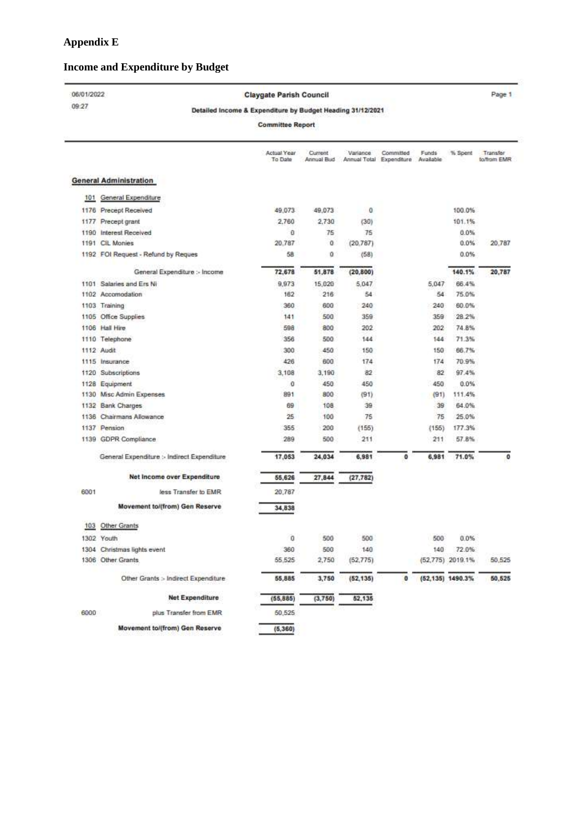# **Income and Expenditure by Budget**

#### 06/01/2022

09:27

#### Claygate Parish Council

Page 1

#### Detailed Income & Expenditure by Budget Heading 31/12/2021

**Committee Report** 

|      |                                             | Actual Year<br>To Date | Current<br>Annual Bud | Variance   | Committed<br>Annual Total Expenditure | Funds<br>Available | % Spent          | Transfer<br>to/from EMR |
|------|---------------------------------------------|------------------------|-----------------------|------------|---------------------------------------|--------------------|------------------|-------------------------|
|      | <b>General Administration</b>               |                        |                       |            |                                       |                    |                  |                         |
|      | 101 General Expenditure                     |                        |                       |            |                                       |                    |                  |                         |
|      | 1176 Precept Received                       | 49.073                 | 49.073                | $^{\circ}$ |                                       |                    | 100.0%           |                         |
|      | 1177 Precept grant                          | 2,760                  | 2,730                 | (30)       |                                       |                    | 101.1%           |                         |
|      | 1190 Interest Received                      | $\theta$               | 75                    | 75         |                                       |                    | 0.0%             |                         |
|      | 1191 CIL Monies                             | 20.787                 | Ù                     | (20.787)   |                                       |                    | 0.0%             | 20.787                  |
|      | 1192 FOI Request - Refund by Reques         | 58                     | ū                     | (58)       |                                       |                    | 0.0%             |                         |
|      | General Expenditure :- Income               | 72,678                 | 51,878                | (20, 800)  |                                       |                    | 140.1%           | 20,787                  |
|      | 1101 Salaries and Ers Ni                    | 9,973                  | 15,020                | 5,047      |                                       | 5,047              | 66.4%            |                         |
|      | 1102 Accomodation                           | 162                    | 216                   | 54         |                                       | 54                 | 75.0%            |                         |
|      | 1103 Training                               | 360                    | 600                   | 240        |                                       | 240                | 60.0%            |                         |
|      | 1105 Office Supplies                        | 141                    | 500                   | 359        |                                       | 359                | 28.2%            |                         |
|      | 1106 Hall Hire                              | 598                    | 800                   | 202        |                                       | 202                | 74.8%            |                         |
|      | 1110 Telephone                              | 356                    | 500                   | 144        |                                       | 144                | 71.3%            |                         |
|      | 1112 Audit                                  | 300                    | 450                   | 150        |                                       | 150                | 66.7%            |                         |
|      | 1115 Insurance                              | 426                    | 600                   | 174        |                                       | 174                | 70.9%            |                         |
|      | 1120 Subscriptions                          | 3.108                  | 3.190                 | 82         |                                       | 82                 | 97.4%            |                         |
|      | 1128 Equipment                              | o                      | 450                   | 450        |                                       | 450                | 0.0%             |                         |
|      | 1130 Misc Admin Expenses                    | 891                    | 800                   | (91)       |                                       | (91)               | 111.4%           |                         |
|      | 1132 Bank Charges                           | 69                     | 108                   | 39         |                                       | 39                 | 64.0%            |                         |
| 1136 | Chairmans Allowance                         | 25                     | 100                   | 76         |                                       | 75                 | 25.0%            |                         |
|      | 1137 Pension                                | 355                    | 200                   | (155)      |                                       | (155)              | 177.3%           |                         |
|      | 1139 GDPR Compliance                        | 289                    | 500                   | 211        |                                       | 211                | 57.8%            |                         |
|      | General Expenditure :- Indirect Expenditure | 17,053                 | 24.034                | 6,981      | 0                                     | 6,981              | 71.0%            | $\circ$                 |
|      | Net Income over Expenditure                 | 55.626                 | 27.844                | (27, 782)  |                                       |                    |                  |                         |
| 6001 | less Transfer to EMR                        | 20,787                 |                       |            |                                       |                    |                  |                         |
|      | Movement to/(from) Gen Reserve              | 34,838                 |                       |            |                                       |                    |                  |                         |
| 103  | Other Grants                                |                        |                       |            |                                       |                    |                  |                         |
|      | 1302 Youth                                  | 0                      | 500                   | 500        |                                       | 500                | 0.0%             |                         |
|      | 1304 Christmas lights event                 | 360                    | 500                   | 140        |                                       | 140                | 72.0%            |                         |
|      | 1306 Other Grants                           | 55.525                 | 2,750                 | (62, 775)  |                                       |                    | (52,775) 2019.1% | 50.525                  |
|      | Other Grants > Indirect Expenditure         | 55,885                 | 3,750                 | (52, 135)  | $\mathbf{0}$                          |                    | (52,135) 1490.3% | 50,525                  |
|      | <b>Net Expenditure</b>                      | (55, 885)              | (3,750)               | 52,135     |                                       |                    |                  |                         |
| 6000 | plus Transfer from EMR                      | 50,525                 |                       |            |                                       |                    |                  |                         |
|      | Movement to/(from) Gen Reserve              | (5,360)                |                       |            |                                       |                    |                  |                         |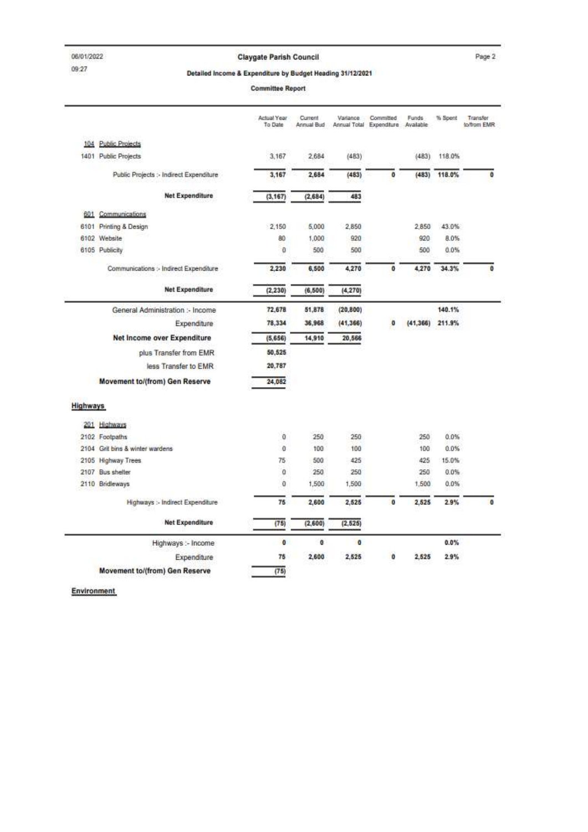#### Claygate Parish Council

Page 2

#### Detailed Income & Expenditure by Budget Heading 31/12/2021

**Committee Report** 

|                 |                                         | Actual Year<br>To Date | Current<br>Annual Bud | Variance            | Committed<br>Arinual Total Expenditure Available | Funds     | % Spent | Transfer<br>to/from EMR |
|-----------------|-----------------------------------------|------------------------|-----------------------|---------------------|--------------------------------------------------|-----------|---------|-------------------------|
|                 | 104 Public Projects                     |                        |                       |                     |                                                  |           |         |                         |
|                 | 1401 Public Projects                    | 3,167                  | 2.684                 | (483)               |                                                  | (483)     | 118.0%  |                         |
|                 | Public Projects :- Indirect Expenditure | 3,167                  | 2,684                 | (483)               | ō                                                | (483)     | 118.0%  | Ö                       |
|                 | <b>Net Expenditure</b>                  | (3, 167)               | (2, 684)              | 483                 |                                                  |           |         |                         |
| 601             | Communications                          |                        |                       |                     |                                                  |           |         |                         |
|                 | 6101 Printing & Design                  | 2,150                  | 5,000                 | 2,850               |                                                  | 2.850     | 43.0%   |                         |
|                 | 6102 Website                            | 80                     | 1.000                 | 920                 |                                                  | 920       | 8.0%    |                         |
|                 | 6105 Publicity                          | O                      | 500                   | 500                 |                                                  | 500       | 0.0%    |                         |
|                 | Communications :- Indirect Expenditure  | 2,230                  | 6,500                 | 4,270               | o                                                | 4,270     | 34.3%   | o                       |
|                 | <b>Net Expenditure</b>                  | (2, 230)               | (6, 500)              | (4, 270)            |                                                  |           |         |                         |
|                 | General Administration :- Income        | 72,678                 | 51.878                | (20, 800)           |                                                  |           | 140.1%  |                         |
|                 | Expenditure                             | 78,334                 | 36.968                | (41, 366)           | Ð                                                | (41, 366) | 211.9%  |                         |
|                 | Net Income over Expenditure             | (5,656)                | 14,910                | 20,566              |                                                  |           |         |                         |
|                 | plus Transfer from EMR                  | 50,525                 |                       |                     |                                                  |           |         |                         |
|                 | less Transfer to EMR                    | 20.787                 |                       |                     |                                                  |           |         |                         |
|                 | Movement to/(from) Gen Reserve          | 24.082                 |                       |                     |                                                  |           |         |                         |
| <b>Highways</b> |                                         |                        |                       |                     |                                                  |           |         |                         |
|                 | 201 Highways                            |                        |                       |                     |                                                  |           |         |                         |
|                 | 2102 Footpaths                          | $\bf{0}$               | 250                   | 250                 |                                                  | 250       | 0.0%    |                         |
|                 | 2104 Grit bins & winter wardens         | ö                      | 100                   | 100                 |                                                  | 100       | 0.0%    |                         |
|                 | 2105 Highway Trees                      | 75                     | 500                   | 425                 |                                                  | 425       | 15.0%   |                         |
|                 | 2107 Bus shelter                        | o                      | 250                   | 250                 |                                                  | 250       | 0.0%    |                         |
|                 | 2110 Bridleways                         | 0                      | 1,500                 | 1,500               |                                                  | 1,500     | 0.0%    |                         |
|                 | Highways :- Indirect Expenditure        | 76                     | 2,600                 | 2,525               | $\mathbf{0}$                                     | 2,525     | 2.9%    | $\mathbf{0}$            |
|                 | Net Expenditure                         | (75)                   | (2,600)               | (2, 525)            |                                                  |           |         |                         |
|                 | Highways :- Income                      | $\theta$               | $\mathbf{0}$          | $\ddot{\mathbf{0}}$ |                                                  |           | 0.0%    |                         |
|                 | Expenditure                             | 75                     | 2,600                 | 2.525               | Ō                                                | 2.525     | 2.9%    |                         |
|                 | Movement to/(from) Gen Reserve          | (75)                   |                       |                     |                                                  |           |         |                         |

Environment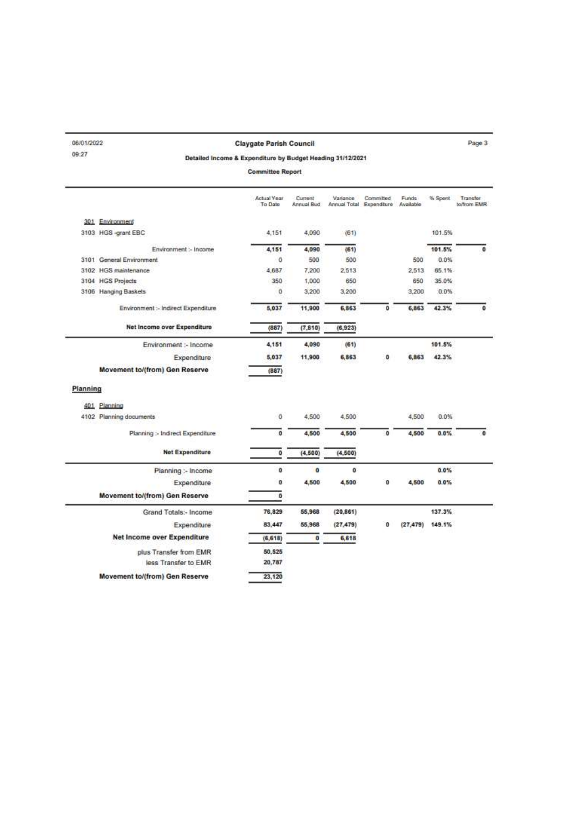| 06/01/2022              |                                       | <b>Claygate Parish Council</b>                             |                       |                       |                                       |                    |                   | Page 3                  |
|-------------------------|---------------------------------------|------------------------------------------------------------|-----------------------|-----------------------|---------------------------------------|--------------------|-------------------|-------------------------|
| 09:27                   |                                       | Detailed Income & Expenditure by Budget Heading 31/12/2021 |                       |                       |                                       |                    |                   |                         |
| <b>Committee Report</b> |                                       |                                                            |                       |                       |                                       |                    |                   |                         |
|                         |                                       | Actual Year<br>To Date                                     | Current<br>Annual Bud | Variance <sup>1</sup> | Committed<br>Annual Total Expenditure | Funds<br>Available | % Spent           | Transfer<br>to/from EMR |
|                         | 301 Environment                       |                                                            |                       |                       |                                       |                    |                   |                         |
|                         | 3103 HGS -grant EBC                   | 4,151                                                      | 4,090                 | (61)                  |                                       |                    | 101.5%            |                         |
|                         | Environment :- Income                 | 4,151                                                      | 4,090                 | (61)                  |                                       |                    | 101.5%            | o                       |
|                         | 3101 General Environment              | $\circ$                                                    | 500                   | 500                   |                                       | 500                | 0.0%              |                         |
|                         | 3102 HGS maintenance                  | 4,687                                                      | 7,200                 | 2,513                 |                                       | 2.513              | 65.1%             |                         |
|                         | 3104 HGS Projects                     | 350                                                        | 1,000                 | 650                   |                                       | 650                | 35.0%             |                         |
|                         | 3106 Hanging Baskets                  | o                                                          | 3,200                 | 3,200                 |                                       | 3,200              | 0.0%              |                         |
|                         | Environment :- Indirect Expenditure   | 5,037                                                      | 11.900                | 6,863                 | Ō                                     | 6,863              | 42.3%             | Ö                       |
|                         | Net Income over Expenditure           | (887)                                                      | (7.810)               | (6, 923)              |                                       |                    |                   |                         |
|                         | Environment :- Income                 | 4,151                                                      | 4,090                 | (61)                  |                                       |                    | 101.5%            |                         |
|                         | <b>Expenditure</b>                    | 5,037                                                      | 11,900                | 6,863                 | o                                     | 6,863              | 42.3%             |                         |
|                         | <b>Movement to/(from) Gen Reserve</b> | (887)                                                      |                       |                       |                                       |                    |                   |                         |
| Planning                |                                       |                                                            |                       |                       |                                       |                    |                   |                         |
|                         | 401 Planning                          |                                                            |                       |                       |                                       |                    |                   |                         |
|                         | 4102 Planning documents               | $\ddot{\rm{o}}$                                            | 4,500                 | 4,500                 |                                       | 4,500              | 0.0%              |                         |
|                         | Planning :- Indirect Expenditure      | 0                                                          | 4,500                 | 4,500                 | o                                     | 4,500              | $0.0\%$           | $\Omega$                |
|                         | Net Expenditure                       | $\ddot{\mathbf{0}}$                                        | (4, 500)              | (4, 500)              |                                       |                    |                   |                         |
|                         | Planning :- Income                    | $\circ$                                                    | $\bullet$             | ö.                    |                                       |                    | 0.0%              |                         |
|                         | Expenditure                           | o                                                          | 4,500                 | 4,500                 | O                                     | 4,500              | 0.0%              |                         |
|                         | Movement to/(from) Gen Reserve        | ٥                                                          |                       |                       |                                       |                    |                   |                         |
|                         | Grand Totals:- Income                 | 76,829                                                     | 55,968                | (20, 861)             |                                       |                    | 137.3%            |                         |
|                         | Expenditure                           | 83,447                                                     | 55,968                | (27, 479)             | O                                     |                    | $(27.479)$ 149.1% |                         |
|                         | Net Income over Expenditure           | (6, 618)                                                   | o                     | 6,618                 |                                       |                    |                   |                         |
|                         | plus Transfer from EMR                | 50,525                                                     |                       |                       |                                       |                    |                   |                         |
|                         |                                       |                                                            |                       |                       |                                       |                    |                   |                         |
|                         | less Transfer to EMR                  | 20,787                                                     |                       |                       |                                       |                    |                   |                         |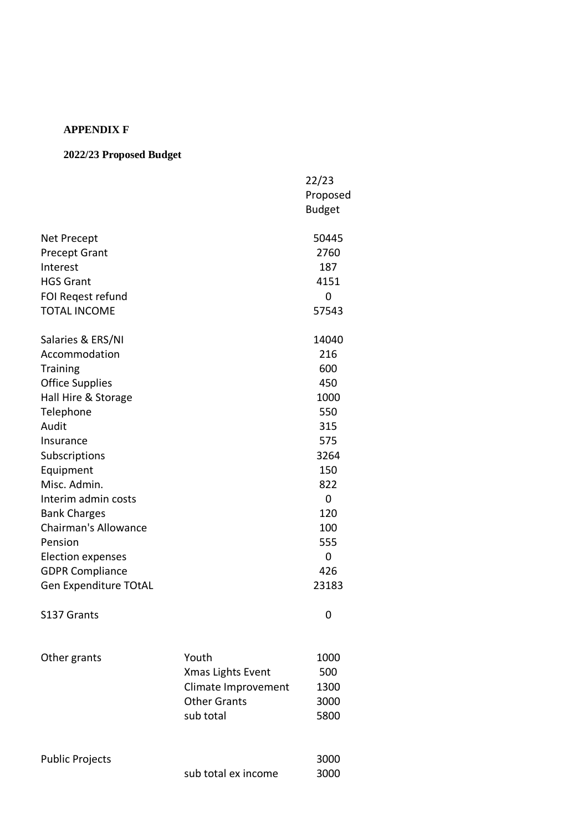## **APPENDIX F**

# **2022/23 Proposed Budget**

|                             |                                          | 22/23         |
|-----------------------------|------------------------------------------|---------------|
|                             |                                          | Proposed      |
|                             |                                          | <b>Budget</b> |
| Net Precept                 |                                          | 50445         |
| <b>Precept Grant</b>        |                                          | 2760          |
| Interest                    |                                          | 187           |
| <b>HGS Grant</b>            |                                          | 4151          |
| FOI Regest refund           |                                          | 0             |
| <b>TOTAL INCOME</b>         |                                          | 57543         |
| Salaries & ERS/NI           |                                          | 14040         |
| Accommodation               |                                          | 216           |
| <b>Training</b>             |                                          | 600           |
| <b>Office Supplies</b>      |                                          | 450           |
| Hall Hire & Storage         |                                          | 1000          |
| Telephone                   |                                          | 550           |
| Audit                       |                                          | 315           |
| Insurance                   |                                          | 575           |
| Subscriptions               |                                          | 3264          |
| Equipment                   |                                          | 150           |
| Misc. Admin.                |                                          | 822           |
| Interim admin costs         |                                          | 0             |
| <b>Bank Charges</b>         |                                          | 120           |
| <b>Chairman's Allowance</b> |                                          | 100           |
| Pension                     |                                          | 555           |
| <b>Election expenses</b>    |                                          | 0             |
| <b>GDPR Compliance</b>      |                                          | 426           |
| Gen Expenditure TOtAL       |                                          | 23183         |
| S137 Grants                 |                                          | 0             |
|                             | Youth                                    | 1000          |
| Other grants                |                                          | 500           |
|                             | Xmas Lights Event<br>Climate Improvement | 1300          |
|                             | <b>Other Grants</b>                      | 3000          |
|                             | sub total                                | 5800          |
|                             |                                          |               |
| <b>Public Projects</b>      |                                          | 3000          |
|                             | sub total ex income                      | 3000          |
|                             |                                          |               |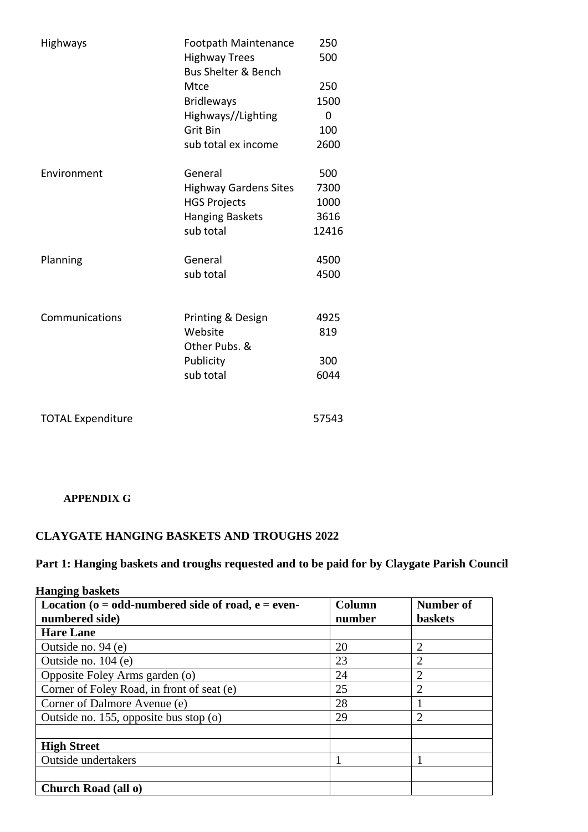| Highways                 | <b>Footpath Maintenance</b><br><b>Highway Trees</b><br><b>Bus Shelter &amp; Bench</b><br>Mtce<br><b>Bridleways</b><br>Highways//Lighting<br>Grit Bin<br>sub total ex income | 250<br>500<br>250<br>1500<br>0<br>100<br>2600 |
|--------------------------|-----------------------------------------------------------------------------------------------------------------------------------------------------------------------------|-----------------------------------------------|
| Environment              | General<br><b>Highway Gardens Sites</b><br><b>HGS Projects</b><br><b>Hanging Baskets</b><br>sub total                                                                       | 500<br>7300<br>1000<br>3616<br>12416          |
| Planning                 | General<br>sub total                                                                                                                                                        | 4500<br>4500                                  |
| Communications           | Printing & Design<br>Website<br>Other Pubs. &<br>Publicity<br>sub total                                                                                                     | 4925<br>819<br>300<br>6044                    |
| <b>TOTAL Expenditure</b> |                                                                                                                                                                             | 57543                                         |

# **APPENDIX G**

# **CLAYGATE HANGING BASKETS AND TROUGHS 2022**

# **Part 1: Hanging baskets and troughs requested and to be paid for by Claygate Parish Council**

| <b>Hanging baskets</b>                                    |        |                |
|-----------------------------------------------------------|--------|----------------|
| Location ( $o = odd$ -numbered side of road, $e = even$ - | Column | Number of      |
| numbered side)                                            | number | <b>baskets</b> |
| <b>Hare Lane</b>                                          |        |                |
| Outside no. 94 (e)                                        | 20     | $\overline{2}$ |
| Outside no. 104 (e)                                       | 23     | $\overline{2}$ |
| Opposite Foley Arms garden (o)                            | 24     | $\overline{2}$ |
| Corner of Foley Road, in front of seat (e)                | 25     | $\overline{2}$ |
| Corner of Dalmore Avenue (e)                              | 28     |                |
| Outside no. 155, opposite bus stop (o)                    | 29     | $\overline{2}$ |
|                                                           |        |                |
| <b>High Street</b>                                        |        |                |
| <b>Outside undertakers</b>                                |        |                |
|                                                           |        |                |
| Church Road (all o)                                       |        |                |